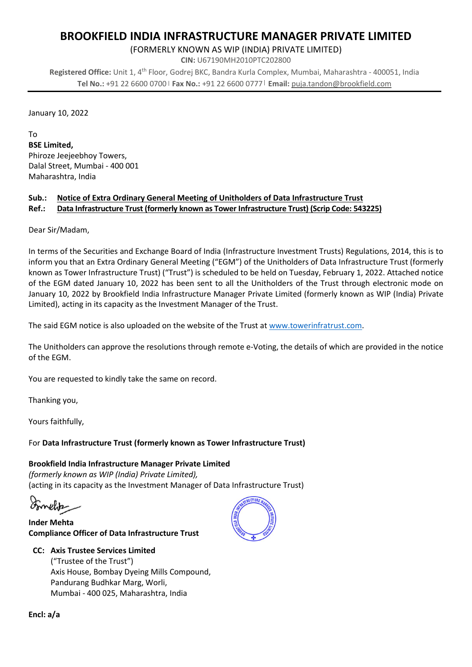# **BROOKFIELD INDIA INFRASTRUCTURE MANAGER PRIVATE LIMITED**

 $7 \setminus k$  U -  $k$  O'  $\cdot$  MV \  $\ddagger$  V  $\cdot$   $\cdot$  o  $\cdot$   $\ddagger$  @h  $\cdot$  $@V @0@`$  $h k \otimes t$ 

 $CIN:$  y  $U =$  $h u$ #

 $\cdot$  7  $\sim$   $\sim$   $\mu$ Registered Office: y  $\cdot$  8  $\cdot$  " M#  $\cdot$  $#$ M  $\mathcal{A}=\mathcal{A}=\mathcal{A}$  $\Delta$  $\mathbb{R}^{n \times (n+1)}$  Email:  $\mathbb{R}^{n \times (n+1)}$ Tel No.:  $\dot{\phantom{a}}$  | Fax No.:

 $\bf K$ 

 $\mathbf u$ 

—<br>•

### **BSE Limited.**

 $\cdot$  K  $\mathbf h$  $\mathbf u$ 

 $\cdot$  U  $\mathcal{L}$  $\mathbf{o}$ 

 $\mathbf U$  $\bullet$  $\omega$ 

#### Notice of Extra Ordinary General Meeting of Unitholders of Data Infrastructure Trust Sub.: Data Infrastructure Trust (formerly known as Tower Infrastructure Trust) (Scrip Code: 543225) Ref.:

 $\cdot$  o  $\mathbf{U}$  $\mathcal{E}$  $@$  $@$  $\Omega$  $\mathbf{U}$ 8  $\mathbf u$ a  $\mathbf u$ u 8 U K K  $\omega$  $\omega$  $\overline{O}$  $\omega$  $\cdot$  - 8 U  $\cdot$  $\mathbf{u}$  $\mathbf{u}$ - Y 8 U

 $\mathbf u$ 

Data Infrastructure Trust (formerly known as Tower Infrastructure Trust)  $\mathcal I$ 

### Brookfield India Infrastructure Manager Private Limited

|  |  | $\sim$ (} OE u OE o Ç lv}Áv • t/W ~/v ] • W OE ] À š > ] u ] š • U |  |  |  |
|--|--|--------------------------------------------------------------------|--|--|--|
|  |  |                                                                    |  |  |  |

## **Inder Mehta**

**Compliance Officer of Data Infrastructure Trust** 

### **CC: Axis Trustee Services Limited**

|  | u a contracto de la contracto de la contracto de la contracto de la contracto de la contracto de la contracto |  |  |
|--|---------------------------------------------------------------------------------------------------------------|--|--|
|  |                                                                                                               |  |  |
|  | h $U$ $\ddagger$                                                                                              |  |  |
|  | $U$ and $U$ are $\emptyset$                                                                                   |  |  |